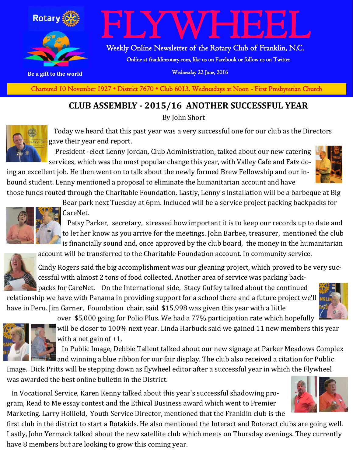

Weekly Online Newsletter of the Rotary Club of Franklin, N.C.

Online at franklinrotary.com, like us on Facebook or follow us on Twitter

**Be a gift to the world Be a gift to the world Wednesday 22 June, 2016** 

**Charted November 29, 1927 • District 7670 • Club 6013 Wednesdays at Noon - First Presbyterian Church** Chartered 10 November 1927 • District 7670 • Club 6013. Wednesdays at Noon - First Presbyterian Church

#### **CLUB ASSEMBLY - 2015/16 ANOTHER SUCCESSFUL YEAR**

By John Short



 Today we heard that this past year was a very successful one for our club as the Directors gave their year end report.

 President -elect Lenny Jordan, Club Administration, talked about our new catering services, which was the most popular change this year, with Valley Cafe and Fatz do-

ing an excellent job. He then went on to talk about the newly formed Brew Fellowship and our inbound student. Lenny mentioned a proposal to eliminate the humanitarian account and have

those funds routed through the Charitable Foundation. Lastly, Lenny's installation will be a barbeque at Big



Bear park next Tuesday at 6pm. Included will be a service project packing backpacks for CareNet.

 Patsy Parker, secretary, stressed how important it is to keep our records up to date and to let her know as you arrive for the meetings. John Barbee, treasurer, mentioned the club is financially sound and, once approved by the club board, the money in the humanitarian

account will be transferred to the Charitable Foundation account. In community service.



Cindy Rogers said the big accomplishment was our gleaning project, which proved to be very successful with almost 2 tons of food collected. Another area of service was packing back-

packs for CareNet. On the International side, Stacy Guffey talked about the continued relationship we have with Panama in providing support for a school there and a future project we'll have in Peru. Jim Garner, Foundation chair, said \$15,998 was given this year with a little





over \$5,000 going for Polio Plus. We had a 77% participation rate which hopefully

will be closer to 100% next year. Linda Harbuck said we gained 11 new members this year with a net gain of +1.

 In Public Image, Debbie Tallent talked about our new signage at Parker Meadows Complex and winning a blue ribbon for our fair display. The club also received a citation for Public

Image. Dick Pritts will be stepping down as flywheel editor after a successful year in which the Flywheel was awarded the best online bulletin in the District.

 In Vocational Service, Karen Kenny talked about this year's successful shadowing program, Read to Me essay contest and the Ethical Business award which went to Premier Marketing. Larry Hollield, Youth Service Director, mentioned that the Franklin club is the



first club in the district to start a Rotakids. He also mentioned the Interact and Rotoract clubs are going well. Lastly, John Yermack talked about the new satellite club which meets on Thursday evenings. They currently have 8 members but are looking to grow this coming year.

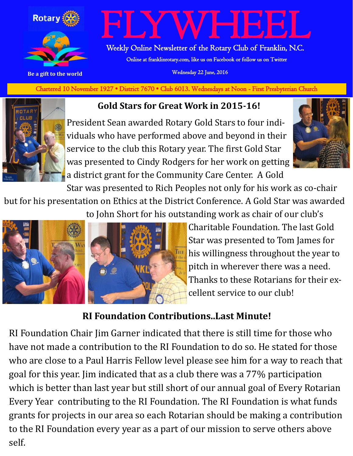

 Weekly Online Newsletter of the Rotary Club of Franklin, N.C. Online at franklinrotary.com, like us on Facebook or follow us on Twitter

**Be a gift to the world Be a gift to the world Wednesday 22 June, 2016** 

**Charted November 29, 1927 • District 7670 • Club 6013 Wednesdays at Noon - First Presbyterian Church** Chartered 10 November 1927 • District 7670 • Club 6013. Wednesdays at Noon - First Presbyterian Church

**Gold Stars for Great Work in 2015-16!**

President Sean awarded Rotary Gold Stars to four individuals who have performed above and beyond in their service to the club this Rotary year. The first Gold Star was presented to Cindy Rodgers for her work on getting a district grant for the Community Care Center. A Gold



Star was presented to Rich Peoples not only for his work as co-chair but for his presentation on Ethics at the District Conference. A Gold Star was awarded to John Short for his outstanding work as chair of our club's



Charitable Foundation. The last Gold Star was presented to Tom James for his willingness throughout the year to pitch in wherever there was a need. Thanks to these Rotarians for their excellent service to our club!

#### **RI Foundation Contributions..Last Minute!**

RI Foundation Chair Jim Garner indicated that there is still time for those who have not made a contribution to the RI Foundation to do so. He stated for those who are close to a Paul Harris Fellow level please see him for a way to reach that goal for this year. Jim indicated that as a club there was a 77% participation which is better than last year but still short of our annual goal of Every Rotarian Every Year contributing to the RI Foundation. The RI Foundation is what funds grants for projects in our area so each Rotarian should be making a contribution to the RI Foundation every year as a part of our mission to serve others above self.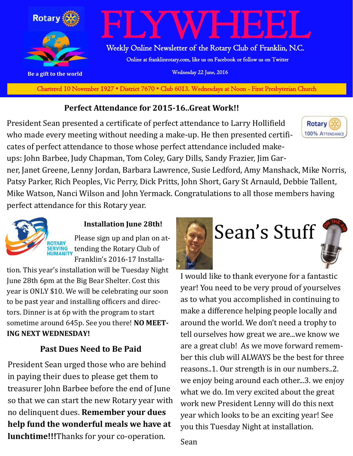

**Charted November 29, 1927 • District 7670 • Club 6013 Wednesdays at Noon - First Presbyterian Church** Chartered 10 November 1927 • District 7670 • Club 6013. Wednesdays at Noon - First Presbyterian Church

#### **Perfect Attendance for 2015-16..Great Work!!**

President Sean presented a certificate of perfect attendance to Larry Hollifield who made every meeting without needing a make-up. He then presented certificates of perfect attendance to those whose perfect attendance included makeups: John Barbee, Judy Chapman, Tom Coley, Gary Dills, Sandy Frazier, Jim Gar-



ner, Janet Greene, Lenny Jordan, Barbara Lawrence, Susie Ledford, Amy Manshack, Mike Norris, Patsy Parker, Rich Peoples, Vic Perry, Dick Pritts, John Short, Gary St Arnauld, Debbie Tallent, Mike Watson, Nanci Wilson and John Yermack. Congratulations to all those members having perfect attendance for this Rotary year.



#### **Installation June 28th!**

Please sign up and plan on at-**SERVING**<br>HUMANITY tending the Rotary Club of Franklin's 2016-17 Installa-

tion. This year's installation will be Tuesday Night June 28th 6pm at the Big Bear Shelter. Cost this year is ONLY \$10. We will be celebrating our soon to be past year and installing officers and directors. Dinner is at 6p with the program to start sometime around 645p. See you there! **NO MEET-ING NEXT WEDNESDAY!**

#### **Past Dues Need to Be Paid**

President Sean urged those who are behind in paying their dues to please get them to treasurer John Barbee before the end of June so that we can start the new Rotary year with no delinquent dues. **Remember your dues help fund the wonderful meals we have at lunchtime!!!**Thanks for your co-operation.



I would like to thank everyone for a fantastic year! You need to be very proud of yourselves as to what you accomplished in continuing to make a difference helping people locally and around the world. We don't need a trophy to tell ourselves how great we are...we know we are a great club! As we move forward remember this club will ALWAYS be the best for three reasons..1. Our strength is in our numbers..2. we enjoy being around each other...3. we enjoy what we do. Im very excited about the great work new President Lenny will do this next year which looks to be an exciting year! See you this Tuesday Night at installation.

Sean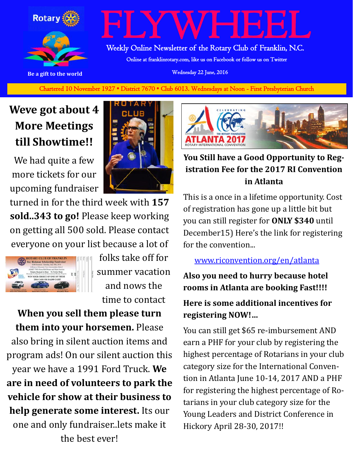

Weekly Online Newsletter of the Rotary Club of Franklin, N.C.

Online at franklinrotary.com, like us on Facebook or follow us on Twitter

**Be a gift to the world Be a gift to the world Wednesday 22 June, 2016** 

**Charted November 29, 1927 • District 7670 • Club 6013 Wednesdays at Noon - First Presbyterian Church** Chartered 10 November 1927 • District 7670 • Club 6013. Wednesdays at Noon - First Presbyterian Church

### **Weve got about 4 More Meetings till Showtime!!**

We had quite a few more tickets for our upcoming fundraiser



turned in for the third week with **157 sold..343 to go!** Please keep working on getting all 500 sold. Please contact everyone on your list because a lot of



folks take off for summer vacation and nows the time to contact

**When you sell them please turn them into your horsemen.** Please also bring in silent auction items and program ads! On our silent auction this year we have a 1991 Ford Truck. **We are in need of volunteers to park the vehicle for show at their business to help generate some interest.** Its our one and only fundraiser..lets make it the best ever!



#### **You Still have a Good Opportunity to Registration Fee for the 2017 RI Convention in Atlanta**

This is a once in a lifetime opportunity. Cost of registration has gone up a little bit but you can still register for **ONLY \$340** until December15) Here's the link for registering for the convention...

#### [www.riconvention.org/en/atlanta](http://www.riconvention.org/en/atlanta)

**Also you need to hurry because hotel rooms in Atlanta are booking Fast!!!! Here is some additional incentives for registering NOW!…**

You can still get \$65 re-imbursement AND earn a PHF for your club by registering the highest percentage of Rotarians in your club category size for the International Convention in Atlanta June 10-14, 2017 AND a PHF for registering the highest percentage of Rotarians in your club category size for the Young Leaders and District Conference in Hickory April 28-30, 2017!!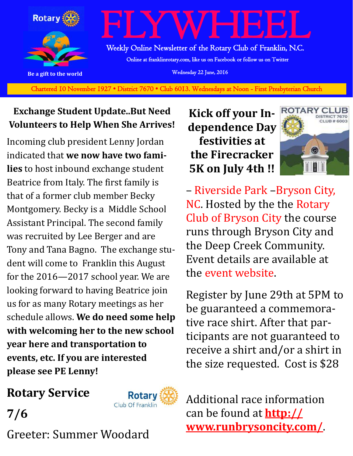

Chartered 10 November 1927 • District 7670 • Club 6013. Wednesdays at Noon - First Presbyterian Church

#### **Exchange Student Update..But Need Volunteers to Help When She Arrives!**

Incoming club president Lenny Jordan indicated that **we now have two families** to host inbound exchange student Beatrice from Italy. The first family is that of a former club member Becky Montgomery. Becky is a Middle School Assistant Principal. The second family was recruited by Lee Berger and are Tony and Tana Bagno. The exchange student will come to Franklin this August for the 2016—2017 school year. We are looking forward to having Beatrice join us for as many Rotary meetings as her schedule allows. **We do need some help with welcoming her to the new school year here and transportation to events, etc. If you are interested please see PE Lenny!** 

#### **Kick off your Independence Day festivities at the Firecracker 5K on July 4th !!**



– [Riverside Park](https://www.facebook.com/pages/Riverside-Park/152152808261324) –[Bryson City,](http://www.runbrysoncity.com/directions.html)  [NC.](http://www.runbrysoncity.com/directions.html) Hosted by the the [Rotary](https://www.facebook.com/Rotary-Club-of-Bryson-City-163579257039259)  [Club of Bryson City](https://www.facebook.com/Rotary-Club-of-Bryson-City-163579257039259) the course runs through Bryson City and the Deep Creek Community. Event details are available at the [event website.](http://www.runbrysoncity.com/)

Register by June 29th at 5PM to be guaranteed a commemorative race shirt. After that participants are not guaranteed to receive a shirt and/or a shirt in the size requested. Cost is \$28

#### **Rotary Service**

**7/6**



Greeter: Summer Woodard

Additional race information can be found at **[http://](http://www.runbrysoncity.com/) [www.runbrysoncity.com/](http://www.runbrysoncity.com/)**.